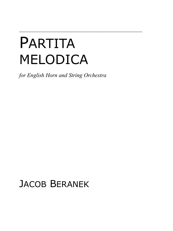# PARTITA MELODICA

*for English Horn and String Orchestra* 

\_\_\_\_\_\_\_\_\_\_\_\_\_\_\_\_\_\_\_\_\_\_\_\_\_\_\_\_\_\_\_\_\_\_\_\_\_\_\_\_\_\_\_\_\_\_

JACOB BERANEK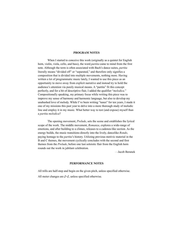#### **PROGRAM NOTES**

 When I started to conceive this work (originally as a quintet for English horn, violin, viola, cello, and bass), the word *partita* came to mind from the first note. Although the term is often associated with Bach's dance suites, *partita*  literally means "divided off" or "separated," and therefore only signifies a composition that is divided into multiple movements, nothing more. Having written a lot of programmatic music lately, I wanted to use this piece as an opportunity to move away from explicit narrative and instead try to hold the audience's attention via purely musical means. A "partita" fit this concept perfectly, and for a bit of descriptive flair, I added the qualifier "*melodica*." Compositionally speaking, my primary focus while writing this piece was to improve my sense of harmony and harmonic language, but also to develop my unabashed love of melody. While I've been writing "tunes" for ten years, I made it one of my missions this past year to delve into a more thorough study of melodic line and employ it in my music. What better way to test (and expose) myself than a *partita melodica*?

 The opening movement, *Prelude*, sets the scene and establishes the lyrical scope of the work. The middle movement, *Romanza*, explores a wide-range of emotions, and after building to a climax, releases to a cadenza-like section. As the energy builds, the music transitions directly into the lively, dancelike *Rondo*, paying homage to the *partita*'s history. Utilizing previous motivic material in the B and C themes, the movement cyclically concludes with the second and first themes from the *Prelude*, before one last soloistic flair from the English horn rounds out the work in jubilant celebration.

—Jacob Beranek

#### **PERFORMANCE NOTES**

All trills are half-step and begin on the given pitch, unless specified otherwise.

All meter changes are ♪=♪, unless specified otherwise.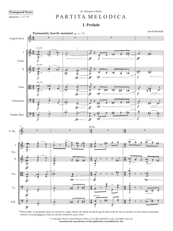duration: c. 17' 15"

#### *for Margaret Butler*

## PARTITA MELODICA

### **I. Prelude**



\* When triple- or quadruple-stops are notated as single chords, the attack should be on the beat (with the top two pitches of each chord sustaining). Attacks occuring **before** the beat are always notated by grace notes.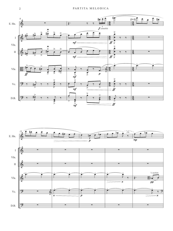#### 2 PARTITA MELODICA



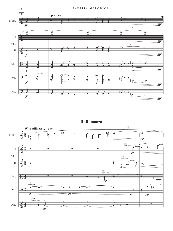



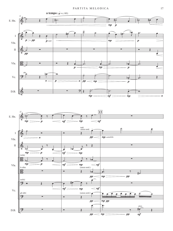



D.B.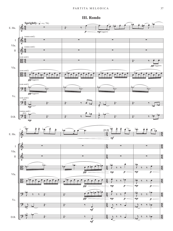

**III. Rondo**